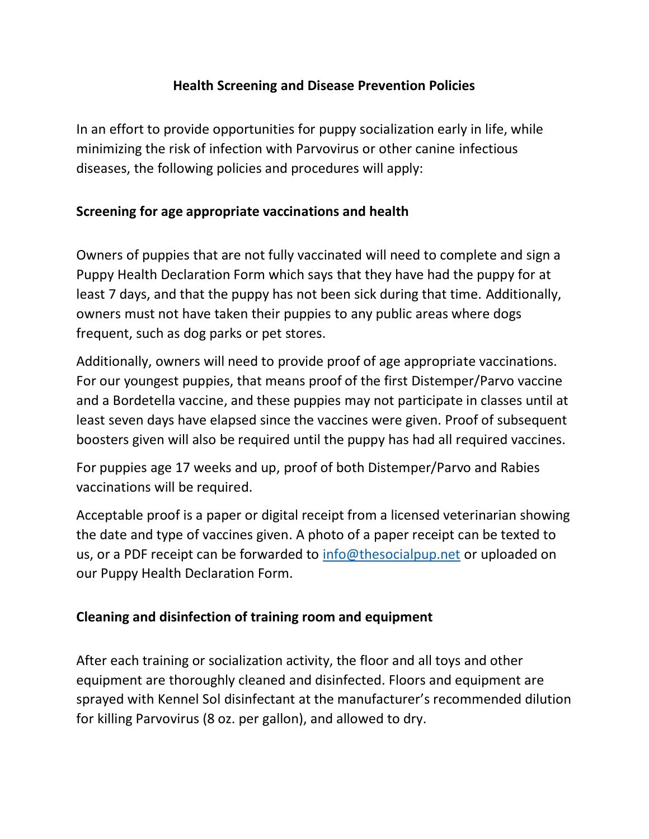## **Health Screening and Disease Prevention Policies**

In an effort to provide opportunities for puppy socialization early in life, while minimizing the risk of infection with Parvovirus or other canine infectious diseases, the following policies and procedures will apply:

## **Screening for age appropriate vaccinations and health**

Owners of puppies that are not fully vaccinated will need to complete and sign a Puppy Health Declaration Form which says that they have had the puppy for at least 7 days, and that the puppy has not been sick during that time. Additionally, owners must not have taken their puppies to any public areas where dogs frequent, such as dog parks or pet stores.

Additionally, owners will need to provide proof of age appropriate vaccinations. For our youngest puppies, that means proof of the first Distemper/Parvo vaccine and a Bordetella vaccine, and these puppies may not participate in classes until at least seven days have elapsed since the vaccines were given. Proof of subsequent boosters given will also be required until the puppy has had all required vaccines.

For puppies age 17 weeks and up, proof of both Distemper/Parvo and Rabies vaccinations will be required.

Acceptable proof is a paper or digital receipt from a licensed veterinarian showing the date and type of vaccines given. A photo of a paper receipt can be texted to us, or a PDF receipt can be forwarded to [info@thesocialpup.net](mailto:info@thesocialpup.net) or uploaded on our Puppy Health Declaration Form.

## **Cleaning and disinfection of training room and equipment**

After each training or socialization activity, the floor and all toys and other equipment are thoroughly cleaned and disinfected. Floors and equipment are sprayed with Kennel Sol disinfectant at the manufacturer's recommended dilution for killing Parvovirus (8 oz. per gallon), and allowed to dry.